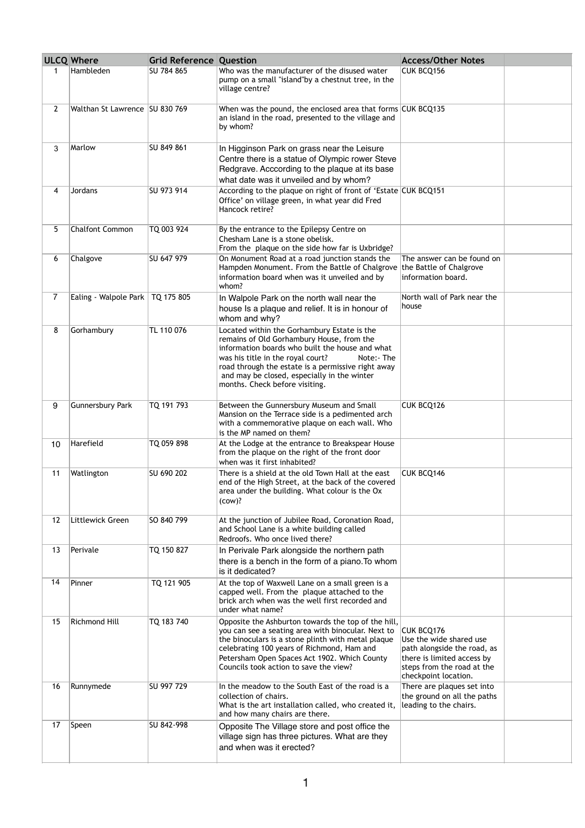| <b>ULCQ Where</b> |                                    | Grid Reference Question |                                                                                                                                                                                                                                                                                                                                       | <b>Access/Other Notes</b>                                                                                                                                       |  |
|-------------------|------------------------------------|-------------------------|---------------------------------------------------------------------------------------------------------------------------------------------------------------------------------------------------------------------------------------------------------------------------------------------------------------------------------------|-----------------------------------------------------------------------------------------------------------------------------------------------------------------|--|
| 1                 | Hambleden                          | SU 784 865              | Who was the manufacturer of the disused water<br>pump on a small "island"by a chestnut tree, in the<br>village centre?                                                                                                                                                                                                                | CUK BCQ156                                                                                                                                                      |  |
| $\overline{2}$    | Walthan St Lawrence SU 830 769     |                         | When was the pound, the enclosed area that forms CUK BCQ135<br>an island in the road, presented to the village and<br>by whom?                                                                                                                                                                                                        |                                                                                                                                                                 |  |
| 3                 | Marlow                             | SU 849 861              | In Higginson Park on grass near the Leisure<br>Centre there is a statue of Olympic rower Steve<br>Redgrave. Acccording to the plaque at its base<br>what date was it unveiled and by whom?                                                                                                                                            |                                                                                                                                                                 |  |
| 4                 | Jordans                            | SU 973 914              | According to the plaque on right of front of 'Estate CUK BCQ151<br>Office' on village green, in what year did Fred<br>Hancock retire?                                                                                                                                                                                                 |                                                                                                                                                                 |  |
| 5                 | <b>Chalfont Common</b>             | TQ 003 924              | By the entrance to the Epilepsy Centre on<br>Chesham Lane is a stone obelisk.<br>From the plaque on the side how far is Uxbridge?                                                                                                                                                                                                     |                                                                                                                                                                 |  |
| 6                 | Chalgove                           | SU 647 979              | On Monument Road at a road junction stands the<br>Hampden Monument. From the Battle of Chalgrove the Battle of Chalgrove<br>information board when was it unveiled and by<br>whom?                                                                                                                                                    | The answer can be found on<br>information board.                                                                                                                |  |
| 7                 | Ealing - Walpole Park   TQ 175 805 |                         | In Walpole Park on the north wall near the<br>house Is a plaque and relief. It is in honour of<br>whom and why?                                                                                                                                                                                                                       | North wall of Park near the<br>house                                                                                                                            |  |
| 8                 | Gorhambury                         | TL 110 076              | Located within the Gorhambury Estate is the<br>remains of Old Gorhambury House, from the<br>information boards who built the house and what<br>was his title in the royal court?<br>Note:- The<br>road through the estate is a permissive right away<br>and may be closed, especially in the winter<br>months. Check before visiting. |                                                                                                                                                                 |  |
| 9                 | <b>Gunnersbury Park</b>            | TQ 191 793              | Between the Gunnersbury Museum and Small<br>Mansion on the Terrace side is a pedimented arch<br>with a commemorative plaque on each wall. Who<br>is the MP named on them?                                                                                                                                                             | CUK BCQ126                                                                                                                                                      |  |
| 10                | Harefield                          | TQ 059 898              | At the Lodge at the entrance to Breakspear House<br>from the plaque on the right of the front door<br>when was it first inhabited?                                                                                                                                                                                                    |                                                                                                                                                                 |  |
| 11                | Watlington                         | SU 690 202              | There is a shield at the old Town Hall at the east<br>end of the High Street, at the back of the covered<br>area under the building. What colour is the Ox<br>$(cow)$ ?                                                                                                                                                               | CUK BCQ146                                                                                                                                                      |  |
| 12                | Littlewick Green                   | SO 840 799              | At the junction of Jubilee Road, Coronation Road,<br>and School Lane is a white building called<br>Redroofs. Who once lived there?                                                                                                                                                                                                    |                                                                                                                                                                 |  |
| 13                | Perivale                           | TQ 150 827              | In Perivale Park alongside the northern path<br>there is a bench in the form of a piano. To whom<br>is it dedicated?                                                                                                                                                                                                                  |                                                                                                                                                                 |  |
| 14                | Pinner                             | TQ 121 905              | At the top of Waxwell Lane on a small green is a<br>capped well. From the plaque attached to the<br>brick arch when was the well first recorded and<br>under what name?                                                                                                                                                               |                                                                                                                                                                 |  |
| 15                | <b>Richmond Hill</b>               | TQ 183 740              | Opposite the Ashburton towards the top of the hill,<br>you can see a seating area with binocular. Next to<br>the binoculars is a stone plinth with metal plaque<br>celebrating 100 years of Richmond, Ham and<br>Petersham Open Spaces Act 1902. Which County<br>Councils took action to save the view?                               | <b>CUK BCQ176</b><br>Use the wide shared use<br>path alongside the road, as<br>there is limited access by<br>steps from the road at the<br>checkpoint location. |  |
| 16                | Runnymede                          | SU 997 729              | In the meadow to the South East of the road is a<br>collection of chairs.<br>What is the art installation called, who created it,<br>and how many chairs are there.                                                                                                                                                                   | There are plaques set into<br>the ground on all the paths<br>leading to the chairs.                                                                             |  |
| 17                | Speen                              | SU 842-998              | Opposite The Village store and post office the<br>village sign has three pictures. What are they<br>and when was it erected?                                                                                                                                                                                                          |                                                                                                                                                                 |  |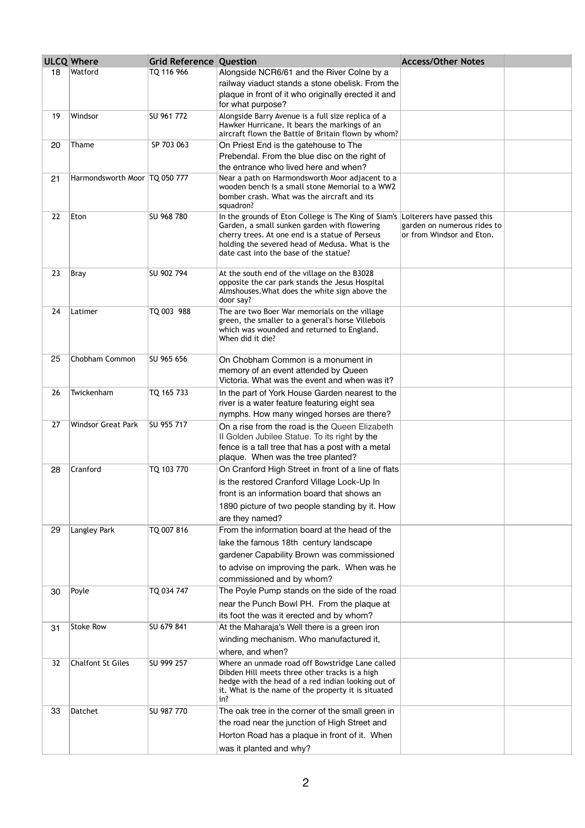|    | <b>ULCQ Where</b>               | <b>Grid Reference Question</b> |                                                                                                           | <b>Access/Other Notes</b>                                |  |
|----|---------------------------------|--------------------------------|-----------------------------------------------------------------------------------------------------------|----------------------------------------------------------|--|
| 18 | Watford                         | TQ 116 966                     | Alongside NCR6/61 and the River Colne by a                                                                |                                                          |  |
|    |                                 |                                | railway viaduct stands a stone obelisk. From the                                                          |                                                          |  |
|    |                                 |                                | plaque in front of it who originally erected it and<br>for what purpose?                                  |                                                          |  |
| 19 | Windsor                         | SU 961 772                     | Alongside Barry Avenue is a full size replica of a                                                        |                                                          |  |
|    |                                 |                                | Hawker Hurricane. It bears the markings of an                                                             |                                                          |  |
| 20 | Thame                           | SP 703 063                     | aircraft flown the Battle of Britain flown by whom?                                                       |                                                          |  |
|    |                                 |                                | On Priest End is the gatehouse to The<br>Prebendal. From the blue disc on the right of                    |                                                          |  |
|    |                                 |                                | the entrance who lived here and when?                                                                     |                                                          |  |
| 21 | Harmondsworth Moor   TQ 050 777 |                                | Near a path on Harmondsworth Moor adjacent to a                                                           |                                                          |  |
|    |                                 |                                | wooden bench Is a small stone Memorial to a WW2<br>bomber crash. What was the aircraft and its            |                                                          |  |
|    |                                 |                                | squadron?                                                                                                 |                                                          |  |
| 22 | Eton                            | SU 968 780                     | In the grounds of Eton College is The King of Siam's Loiterers have passed this                           |                                                          |  |
|    |                                 |                                | Garden, a small sunken garden with flowering<br>cherry trees. At one end is a statue of Perseus           | garden on numerous rides to<br>or from Windsor and Eton. |  |
|    |                                 |                                | holding the severed head of Medusa. What is the                                                           |                                                          |  |
|    |                                 |                                | date cast into the base of the statue?                                                                    |                                                          |  |
| 23 | Bray                            | SU 902 794                     | At the south end of the village on the B3028                                                              |                                                          |  |
|    |                                 |                                | opposite the car park stands the Jesus Hospital<br>Almshouses. What does the white sign above the         |                                                          |  |
|    |                                 |                                | door say?                                                                                                 |                                                          |  |
| 24 | Latimer                         | TQ 003 988                     | The are two Boer War memorials on the village                                                             |                                                          |  |
|    |                                 |                                | green, the smaller to a general's horse Villebois<br>which was wounded and returned to England.           |                                                          |  |
|    |                                 |                                | When did it die?                                                                                          |                                                          |  |
| 25 | Chobham Common                  | SU 965 656                     |                                                                                                           |                                                          |  |
|    |                                 |                                | On Chobham Common is a monument in<br>memory of an event attended by Queen                                |                                                          |  |
|    |                                 |                                | Victoria. What was the event and when was it?                                                             |                                                          |  |
| 26 | Twickenham                      | TQ 165 733                     | In the part of York House Garden nearest to the                                                           |                                                          |  |
|    |                                 |                                | river is a water feature featuring eight sea                                                              |                                                          |  |
| 27 | <b>Windsor Great Park</b>       | SU 955 717                     | nymphs. How many winged horses are there?                                                                 |                                                          |  |
|    |                                 |                                | On a rise from the road is the Queen Elizabeth<br>II Golden Jubilee Statue. To its right by the           |                                                          |  |
|    |                                 |                                | fence is a tall tree that has a post with a metal                                                         |                                                          |  |
|    |                                 |                                | plaque. When was the tree planted?                                                                        |                                                          |  |
| 28 | Cranford                        | TQ 103 770                     | On Cranford High Street in front of a line of flats                                                       |                                                          |  |
|    |                                 |                                | is the restored Cranford Village Lock-Up In<br>front is an information board that shows an                |                                                          |  |
|    |                                 |                                | 1890 picture of two people standing by it. How                                                            |                                                          |  |
|    |                                 |                                | are they named?                                                                                           |                                                          |  |
| 29 | Langley Park                    | TQ 007 816                     | From the information board at the head of the                                                             |                                                          |  |
|    |                                 |                                | lake the famous 18th century landscape                                                                    |                                                          |  |
|    |                                 |                                | gardener Capability Brown was commissioned                                                                |                                                          |  |
|    |                                 |                                | to advise on improving the park. When was he                                                              |                                                          |  |
|    |                                 |                                | commissioned and by whom?                                                                                 |                                                          |  |
| 30 | Poyle                           | TQ 034 747                     | The Poyle Pump stands on the side of the road                                                             |                                                          |  |
|    |                                 |                                | near the Punch Bowl PH. From the plaque at                                                                |                                                          |  |
|    | <b>Stoke Row</b>                | SU 679 841                     | its foot the was it erected and by whom?                                                                  |                                                          |  |
| 31 |                                 |                                | At the Maharaja's Well there is a green iron<br>winding mechanism. Who manufactured it,                   |                                                          |  |
|    |                                 |                                | where, and when?                                                                                          |                                                          |  |
| 32 | <b>Chalfont St Giles</b>        | SU 999 257                     | Where an unmade road off Bowstridge Lane called                                                           |                                                          |  |
|    |                                 |                                | Dibden Hill meets three other tracks is a high                                                            |                                                          |  |
|    |                                 |                                | hedge with the head of a red indian looking out of<br>it. What is the name of the property it is situated |                                                          |  |
|    |                                 |                                | in?                                                                                                       |                                                          |  |
| 33 | Datchet                         | SU 987 770                     | The oak tree in the corner of the small green in                                                          |                                                          |  |
|    |                                 |                                | the road near the junction of High Street and                                                             |                                                          |  |
|    |                                 |                                | Horton Road has a plaque in front of it. When                                                             |                                                          |  |
|    |                                 |                                | was it planted and why?                                                                                   |                                                          |  |